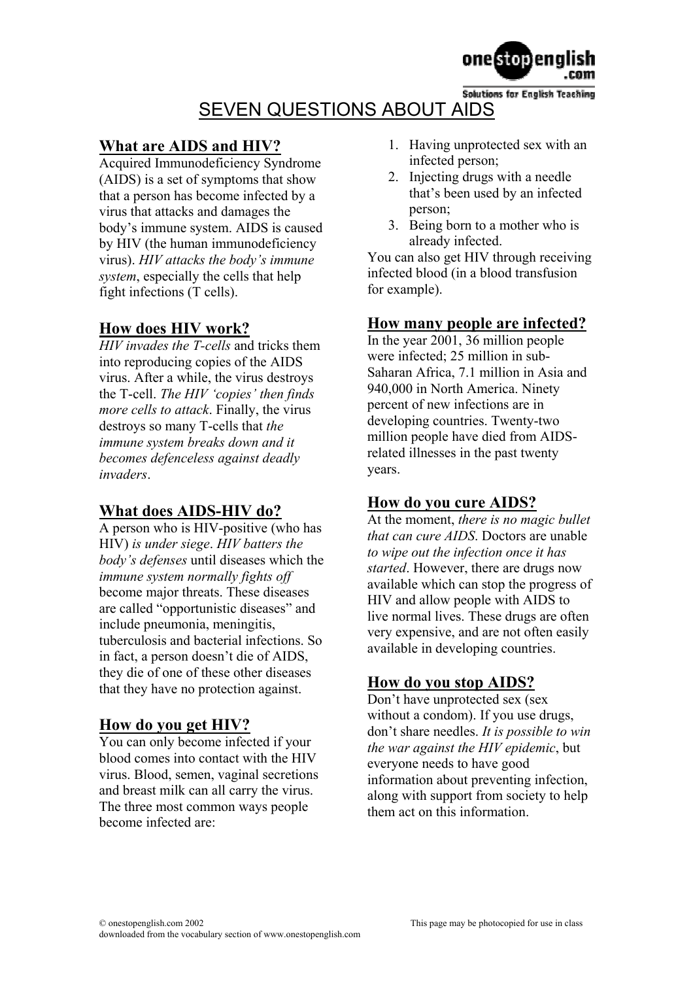

**Solutions for English Teaching** SEVEN QUESTIONS ABOUT AIDS

#### **What are AIDS and HIV?**

Acquired Immunodeficiency Syndrome (AIDS) is a set of symptoms that show that a person has become infected by a virus that attacks and damages the body's immune system. AIDS is caused by HIV (the human immunodeficiency virus). *HIV attacks the body's immune system*, especially the cells that help fight infections (T cells).

#### **How does HIV work?**

*HIV invades the T-cells* and tricks them into reproducing copies of the AIDS virus. After a while, the virus destroys the T-cell. *The HIV 'copies' then finds more cells to attack*. Finally, the virus destroys so many T-cells that *the immune system breaks down and it becomes defenceless against deadly invaders*.

## **What does AIDS-HIV do?**

A person who is HIV-positive (who has HIV) *is under siege*. *HIV batters the body's defenses* until diseases which the *immune system normally fights off* become major threats. These diseases are called "opportunistic diseases" and include pneumonia, meningitis, tuberculosis and bacterial infections. So in fact, a person doesn't die of AIDS, they die of one of these other diseases that they have no protection against.

#### **How do you get HIV?**

You can only become infected if your blood comes into contact with the HIV virus. Blood, semen, vaginal secretions and breast milk can all carry the virus. The three most common ways people become infected are:

- 1. Having unprotected sex with an infected person;
- 2. Injecting drugs with a needle that's been used by an infected person;
- 3. Being born to a mother who is already infected.

You can also get HIV through receiving infected blood (in a blood transfusion for example).

#### **How many people are infected?**

In the year 2001, 36 million people were infected; 25 million in sub-Saharan Africa, 7.1 million in Asia and 940,000 in North America. Ninety percent of new infections are in developing countries. Twenty-two million people have died from AIDSrelated illnesses in the past twenty years.

## **How do you cure AIDS?**

At the moment, *there is no magic bullet that can cure AIDS*. Doctors are unable *to wipe out the infection once it has started*. However, there are drugs now available which can stop the progress of HIV and allow people with AIDS to live normal lives. These drugs are often very expensive, and are not often easily available in developing countries.

#### **How do you stop AIDS?**

Don't have unprotected sex (sex) without a condom). If you use drugs, don't share needles. *It is possible to win the war against the HIV epidemic*, but everyone needs to have good information about preventing infection, along with support from society to help them act on this information.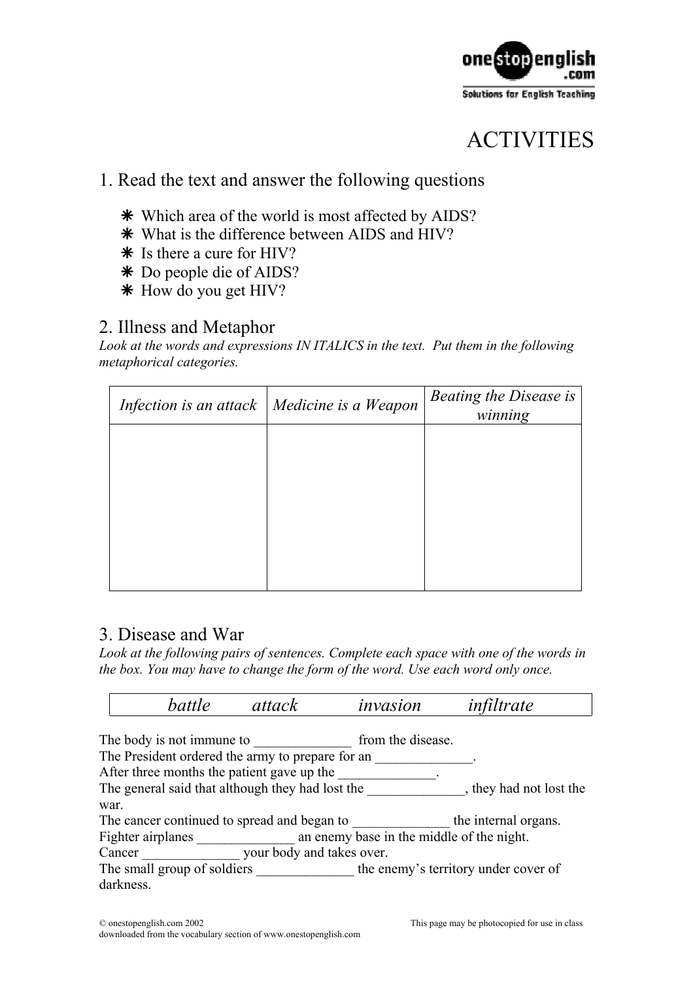

## ACTIVITIES

## 1. Read the text and answer the following questions

- Ä Which area of the world is most affected by AIDS?
- Ä What is the difference between AIDS and HIV?
- Ä Is there a cure for HIV?
- Ä Do people die of AIDS?
- Ä How do you get HIV?

## 2. Illness and Metaphor

*Look at the words and expressions IN ITALICS in the text. Put them in the following metaphorical categories.* 

| Infection is an attack   Medicine is a Weapon | <b>Beating the Disease is</b><br>winning |
|-----------------------------------------------|------------------------------------------|
|                                               |                                          |
|                                               |                                          |
|                                               |                                          |
|                                               |                                          |
|                                               |                                          |

## 3. Disease and War

Look at the following pairs of sentences. Complete each space with one of the words in *the box. You may have to change the form of the word. Use each word only once.* 

|                                                                             | battle                                                         | attack | invasion          | infiltrate                           |  |  |
|-----------------------------------------------------------------------------|----------------------------------------------------------------|--------|-------------------|--------------------------------------|--|--|
|                                                                             |                                                                |        |                   |                                      |  |  |
|                                                                             | The body is not immune to                                      |        | from the disease. |                                      |  |  |
| The President ordered the army to prepare for an                            |                                                                |        |                   |                                      |  |  |
| After three months the patient gave up the                                  |                                                                |        |                   |                                      |  |  |
| The general said that although they had lost the<br>, they had not lost the |                                                                |        |                   |                                      |  |  |
| war.                                                                        |                                                                |        |                   |                                      |  |  |
|                                                                             | The cancer continued to spread and began to                    |        |                   | the internal organs.                 |  |  |
|                                                                             | an enemy base in the middle of the night.<br>Fighter airplanes |        |                   |                                      |  |  |
|                                                                             | your body and takes over.<br>Cancer                            |        |                   |                                      |  |  |
| The small group of soldiers                                                 |                                                                |        |                   | the enemy's territory under cover of |  |  |
|                                                                             | darkness.                                                      |        |                   |                                      |  |  |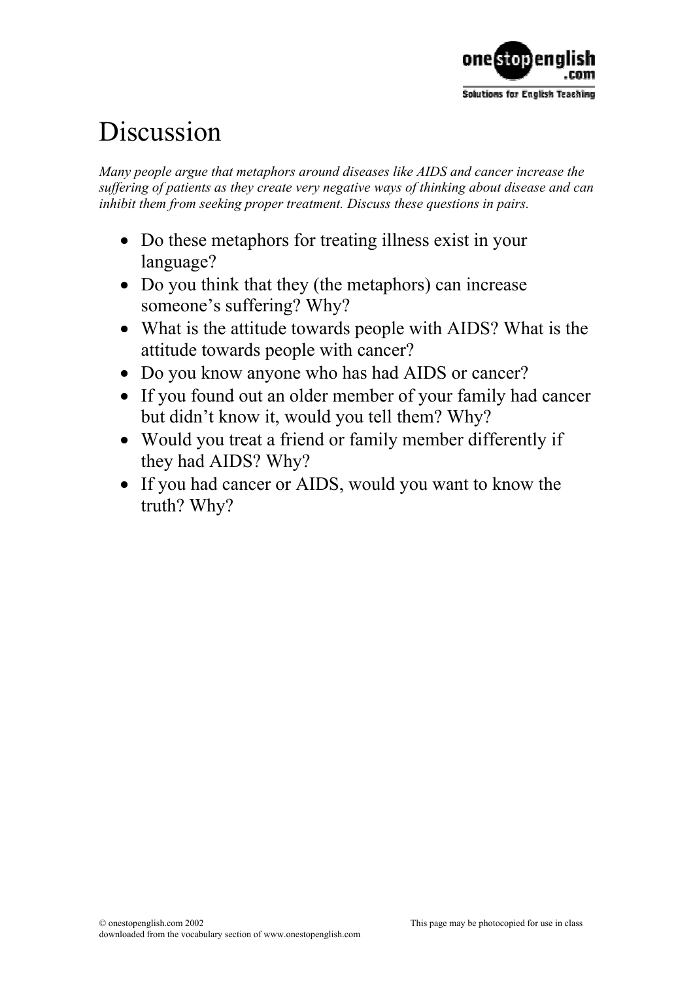

# Discussion

*Many people argue that metaphors around diseases like AIDS and cancer increase the suffering of patients as they create very negative ways of thinking about disease and can inhibit them from seeking proper treatment. Discuss these questions in pairs.* 

- Do these metaphors for treating illness exist in your language?
- Do you think that they (the metaphors) can increase someone's suffering? Why?
- What is the attitude towards people with AIDS? What is the attitude towards people with cancer?
- Do you know anyone who has had AIDS or cancer?
- If you found out an older member of your family had cancer but didn't know it, would you tell them? Why?
- Would you treat a friend or family member differently if they had AIDS? Why?
- If you had cancer or AIDS, would you want to know the truth? Why?